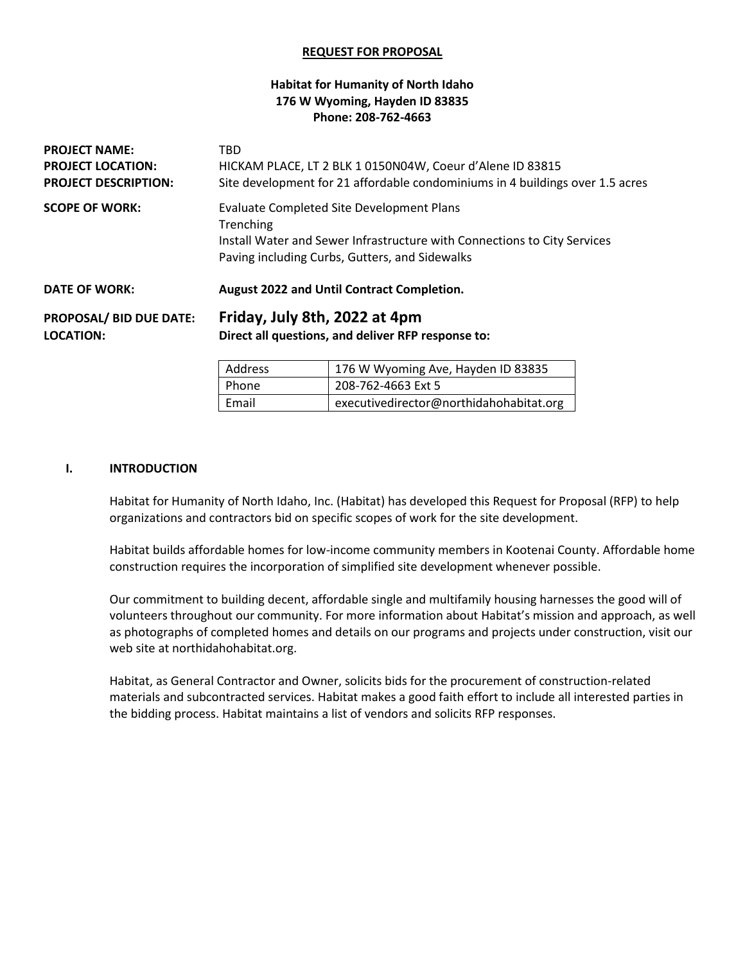#### **REQUEST FOR PROPOSAL**

### **Habitat for Humanity of North Idaho 176 W Wyoming, Hayden ID 83835 Phone: 208-762-4663**

| <b>PROJECT NAME:</b><br><b>PROJECT LOCATION:</b><br><b>PROJECT DESCRIPTION:</b> | TBD<br>HICKAM PLACE, LT 2 BLK 1 0150N04W, Coeur d'Alene ID 83815<br>Site development for 21 affordable condominiums in 4 buildings over 1.5 acres |                                                                          |  |
|---------------------------------------------------------------------------------|---------------------------------------------------------------------------------------------------------------------------------------------------|--------------------------------------------------------------------------|--|
| <b>SCOPE OF WORK:</b>                                                           | <b>Evaluate Completed Site Development Plans</b>                                                                                                  |                                                                          |  |
|                                                                                 | Trenching                                                                                                                                         | Install Water and Sewer Infrastructure with Connections to City Services |  |
|                                                                                 |                                                                                                                                                   | Paving including Curbs, Gutters, and Sidewalks                           |  |
| <b>DATE OF WORK:</b>                                                            | August 2022 and Until Contract Completion.                                                                                                        |                                                                          |  |
| <b>PROPOSAL/ BID DUE DATE:</b>                                                  | Friday, July 8th, 2022 at 4pm                                                                                                                     |                                                                          |  |
| <b>LOCATION:</b>                                                                | Direct all questions, and deliver RFP response to:                                                                                                |                                                                          |  |
|                                                                                 | ومومسام المنافي                                                                                                                                   | $170.1111h$ $\ldots$ $\ldots$ $\ldots$ $\ldots$ $\ldots$ $\ldots$        |  |

| Address | 176 W Wyoming Ave, Hayden ID 83835      |  |
|---------|-----------------------------------------|--|
| Phone   | 208-762-4663 Ext 5                      |  |
| Email   | executivedirector@northidahohabitat.org |  |

#### **I. INTRODUCTION**

Habitat for Humanity of North Idaho, Inc. (Habitat) has developed this Request for Proposal (RFP) to help organizations and contractors bid on specific scopes of work for the site development.

Habitat builds affordable homes for low-income community members in Kootenai County. Affordable home construction requires the incorporation of simplified site development whenever possible.

Our commitment to building decent, affordable single and multifamily housing harnesses the good will of volunteers throughout our community. For more information about Habitat's mission and approach, as well as photographs of completed homes and details on our programs and projects under construction, visit our web site at northidahohabitat.org.

Habitat, as General Contractor and Owner, solicits bids for the procurement of construction-related materials and subcontracted services. Habitat makes a good faith effort to include all interested parties in the bidding process. Habitat maintains a list of vendors and solicits RFP responses.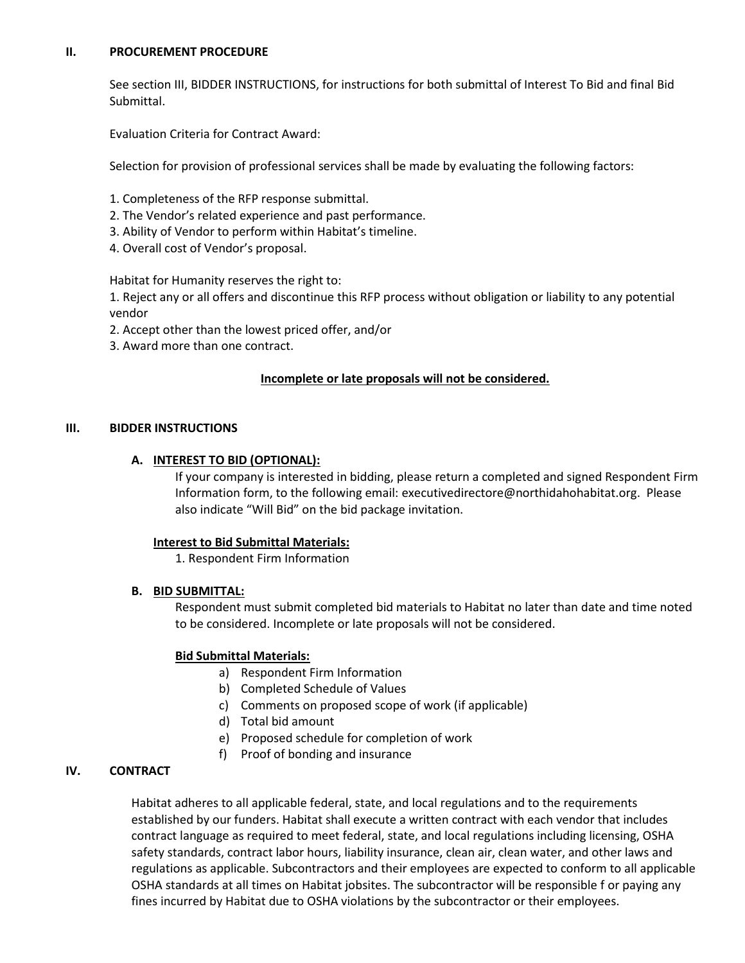#### **II. PROCUREMENT PROCEDURE**

See section III, BIDDER INSTRUCTIONS, for instructions for both submittal of Interest To Bid and final Bid Submittal.

Evaluation Criteria for Contract Award:

Selection for provision of professional services shall be made by evaluating the following factors:

- 1. Completeness of the RFP response submittal.
- 2. The Vendor's related experience and past performance.
- 3. Ability of Vendor to perform within Habitat's timeline.
- 4. Overall cost of Vendor's proposal.

Habitat for Humanity reserves the right to:

1. Reject any or all offers and discontinue this RFP process without obligation or liability to any potential vendor

- 2. Accept other than the lowest priced offer, and/or
- 3. Award more than one contract.

## **Incomplete or late proposals will not be considered.**

### **III. BIDDER INSTRUCTIONS**

## **A. INTEREST TO BID (OPTIONAL):**

If your company is interested in bidding, please return a completed and signed Respondent Firm Information form, to the following email: executivedirectore@northidahohabitat.org. Please also indicate "Will Bid" on the bid package invitation.

### **Interest to Bid Submittal Materials:**

1. Respondent Firm Information

### **B. BID SUBMITTAL:**

Respondent must submit completed bid materials to Habitat no later than date and time noted to be considered. Incomplete or late proposals will not be considered.

### **Bid Submittal Materials:**

- a) Respondent Firm Information
- b) Completed Schedule of Values
- c) Comments on proposed scope of work (if applicable)
- d) Total bid amount
- e) Proposed schedule for completion of work
- f) Proof of bonding and insurance

# **IV. CONTRACT**

Habitat adheres to all applicable federal, state, and local regulations and to the requirements established by our funders. Habitat shall execute a written contract with each vendor that includes contract language as required to meet federal, state, and local regulations including licensing, OSHA safety standards, contract labor hours, liability insurance, clean air, clean water, and other laws and regulations as applicable. Subcontractors and their employees are expected to conform to all applicable OSHA standards at all times on Habitat jobsites. The subcontractor will be responsible f or paying any fines incurred by Habitat due to OSHA violations by the subcontractor or their employees.